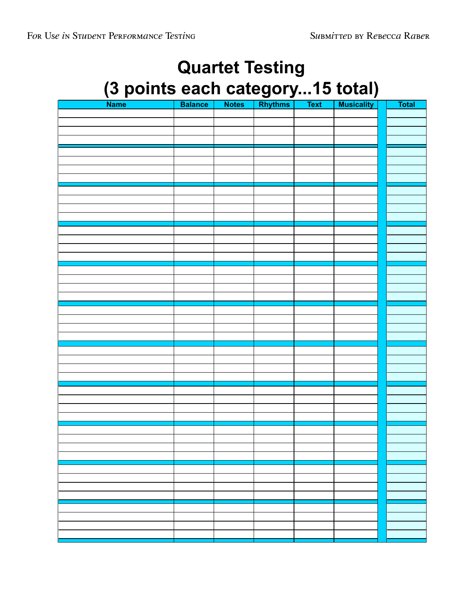# **Quartet Testing (3 points each category...15 total)**

| Name <sup>1</sup><br>т. | <b>Balance</b> | <b>Notes</b> | <b>Rhythms</b> | <b>Text</b> | <b>Musicality</b> | <b>Total</b> |
|-------------------------|----------------|--------------|----------------|-------------|-------------------|--------------|
|                         |                |              |                |             |                   |              |
|                         |                |              |                |             |                   |              |
|                         |                |              |                |             |                   |              |
|                         |                |              |                |             |                   |              |
|                         |                |              |                |             |                   |              |
|                         |                |              |                |             |                   |              |
|                         |                |              |                |             |                   |              |
|                         |                |              |                |             |                   |              |
|                         |                |              |                |             |                   |              |
|                         |                |              |                |             |                   |              |
|                         |                |              |                |             |                   |              |
|                         |                |              |                |             |                   |              |
|                         |                |              |                |             |                   |              |
|                         |                |              |                |             |                   |              |
|                         |                |              |                |             |                   |              |
|                         |                |              |                |             |                   |              |
|                         |                |              |                |             |                   |              |
|                         |                |              |                |             |                   |              |
|                         |                |              |                |             |                   |              |
|                         |                |              |                |             |                   |              |
|                         |                |              |                |             |                   |              |
|                         |                |              |                |             |                   |              |
|                         |                |              |                |             |                   |              |
|                         |                |              |                |             |                   |              |
|                         |                |              |                |             |                   |              |
|                         |                |              |                |             |                   |              |
|                         |                |              |                |             |                   |              |
|                         |                |              |                |             |                   |              |
|                         |                |              |                |             |                   |              |
|                         |                |              |                |             |                   |              |
|                         |                |              |                |             |                   |              |
|                         |                |              |                |             |                   |              |
|                         |                |              |                |             |                   |              |
|                         |                |              |                |             |                   |              |
|                         |                |              |                |             |                   |              |
|                         |                |              |                |             |                   |              |
|                         |                |              |                |             |                   |              |
|                         |                |              |                |             |                   |              |
|                         |                |              |                |             |                   |              |
|                         |                |              |                |             |                   |              |
|                         |                |              |                |             |                   |              |
|                         |                |              |                |             |                   |              |
|                         |                |              |                |             |                   |              |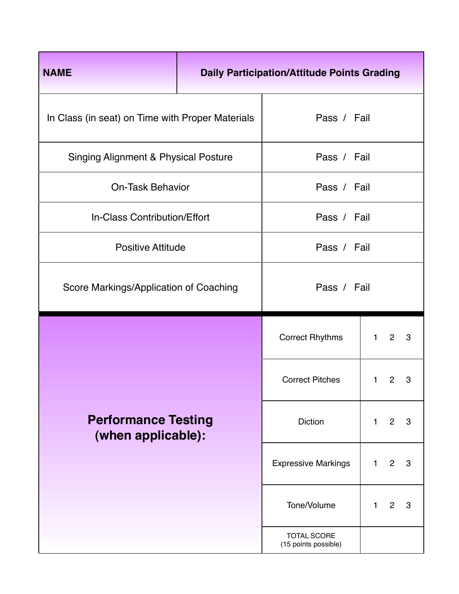| <b>NAME</b>                                      | <b>Daily Participation/Attitude Points Grading</b> |                            |              |                |   |  |  |  |
|--------------------------------------------------|----------------------------------------------------|----------------------------|--------------|----------------|---|--|--|--|
| In Class (in seat) on Time with Proper Materials | Pass / Fail                                        |                            |              |                |   |  |  |  |
| <b>Singing Alignment &amp; Physical Posture</b>  | Pass / Fail                                        |                            |              |                |   |  |  |  |
| <b>On-Task Behavior</b>                          |                                                    | Pass / Fail                |              |                |   |  |  |  |
| In-Class Contribution/Effort                     |                                                    |                            | Pass / Fail  |                |   |  |  |  |
| <b>Positive Attitude</b>                         |                                                    | Pass / Fail                |              |                |   |  |  |  |
| Score Markings/Application of Coaching           | Pass / Fail                                        |                            |              |                |   |  |  |  |
|                                                  |                                                    |                            |              |                |   |  |  |  |
|                                                  |                                                    | <b>Correct Rhythms</b>     | $\mathbf{1}$ | $\overline{2}$ | 3 |  |  |  |
|                                                  |                                                    | <b>Correct Pitches</b>     | $\mathbf{1}$ | $\overline{2}$ | 3 |  |  |  |
| <b>Performance Testing</b><br>(when applicable): |                                                    | <b>Diction</b>             | $\mathbf{1}$ | $\overline{2}$ | 3 |  |  |  |
|                                                  |                                                    | <b>Expressive Markings</b> | $\mathbf{1}$ | $\overline{2}$ | 3 |  |  |  |
|                                                  |                                                    | Tone/Volume                | 1.           | $\overline{2}$ | 3 |  |  |  |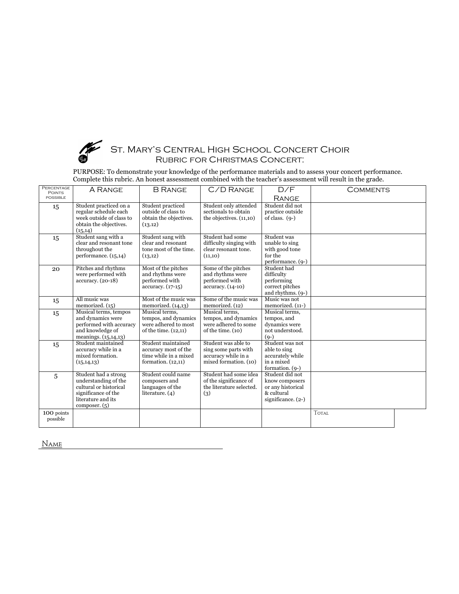

### ST. MARY'S CENTRAL HIGH SCHOOL CONCERT CHOIR Rubric for Christmas Concert:

PURPOSE: To demonstrate your knowledge of the performance materials and to assess your concert performance. Complete this rubric. An honest assessment combined with the teacher's assessment will result in the grade.

| PERCENTAGE      |                          |                        |                                     |                               |              |  |
|-----------------|--------------------------|------------------------|-------------------------------------|-------------------------------|--------------|--|
| <b>POINTS</b>   | A RANGE                  | <b>B RANGE</b>         | C/D RANGE                           | D/F                           | COMMENTS     |  |
| <b>POSSIBLE</b> |                          |                        |                                     | <b>RANGE</b>                  |              |  |
| 15              | Student practiced on a   | Student practiced      | Student only attended               | Student did not               |              |  |
|                 | regular schedule each    | outside of class to    | sectionals to obtain                | practice outside              |              |  |
|                 | week outside of class to | obtain the objectives. | the objectives. $(11,10)$           | of class. $(9-)$              |              |  |
|                 | obtain the objectives.   | (13.12)                |                                     |                               |              |  |
|                 | (15, 14)                 |                        |                                     |                               |              |  |
| 15              | Student sang with a      | Student sang with      | Student had some                    | Student was                   |              |  |
|                 | clear and resonant tone  | clear and resonant     | difficulty singing with             | unable to sing                |              |  |
|                 | throughout the           | tone most of the time. | clear resonant tone.                | with good tone                |              |  |
|                 | performance. (15,14)     | (13,12)                | (11,10)                             | for the                       |              |  |
|                 |                          |                        |                                     | performance. (9-)             |              |  |
| 20              | Pitches and rhythms      | Most of the pitches    | Some of the pitches                 | Student had                   |              |  |
|                 | were performed with      | and rhythms were       | and rhythms were                    | difficulty                    |              |  |
|                 | accuracy. (20-18)        | performed with         | performed with<br>accuracy. (14-10) | performing<br>correct pitches |              |  |
|                 |                          | $accuracy. (17-15)$    |                                     | and rhythms. (9-)             |              |  |
|                 | All music was            | Most of the music was  | Some of the music was               | Music was not                 |              |  |
| 15              | memorized. (15)          | memorized. $(14,13)$   | memorized. (12)                     | memorized. (11-)              |              |  |
|                 | Musical terms, tempos    | Musical terms.         | Musical terms.                      | Musical terms.                |              |  |
| 15              | and dynamics were        | tempos, and dynamics   | tempos, and dynamics                | tempos, and                   |              |  |
|                 | performed with accuracy  | were adhered to most   | were adhered to some                | dynamics were                 |              |  |
|                 | and knowledge of         | of the time. (12,11)   | of the time. (10)                   | not understood.               |              |  |
|                 | meanings. $(15, 14, 13)$ |                        |                                     | $(Q-)$                        |              |  |
| 15              | Student maintained       | Student maintained     | Student was able to                 | Student was not               |              |  |
|                 | accuracy while in a      | accuracy most of the   | sing some parts with                | able to sing                  |              |  |
|                 | mixed formation.         | time while in a mixed  | accuracy while in a                 | accurately while              |              |  |
|                 | (15, 14, 13)             | formation. $(12,11)$   | mixed formation. (10)               | in a mixed                    |              |  |
|                 |                          |                        |                                     | formation. (9-)               |              |  |
| $\overline{5}$  | Student had a strong     | Student could name     | Student had some idea               | Student did not               |              |  |
|                 | understanding of the     | composers and          | of the significance of              | know composers                |              |  |
|                 | cultural or historical   | languages of the       | the literature selected.            | or any historical             |              |  |
|                 | significance of the      | literature. $(4)$      | (3)                                 | & cultural                    |              |  |
|                 | literature and its       |                        |                                     | significance. $(2-)$          |              |  |
|                 | composer. $(5)$          |                        |                                     |                               |              |  |
| 100 points      |                          |                        |                                     |                               | <b>TOTAL</b> |  |
| possible        |                          |                        |                                     |                               |              |  |
|                 |                          |                        |                                     |                               |              |  |

Name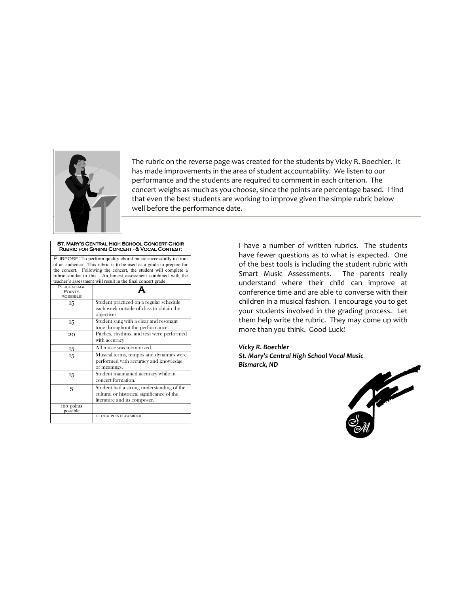

The rubric on the reverse page was created for the students by Vicky R. Boechler. It has made improvements in the area of student accountability. We listen to our performance and the students are required to comment in each criterion. The concert weighs as much as you choose, since the points are percentage based. I find that even the best students are working to improve given the simple rubric below well before the performance date.

#### ST. MARY'S CENTRAL HIGH SCHOOL CONCERT CHOIR RUBRIC FOR SPRING CONCERT - & VOCAL CONTEST:

PURPOSE: To perform quality choral music successfully in front of an audience. This rubric is to be used as a guide to prepare for the concert. Following the concert, the student will complete a rubric similar to this. An honest assessment combined with the teacher's assessment will result in the final concert grade. Percentage

| PERCENTAGE<br><b>POINTS</b><br><b>POSSIBLE</b> |                                                                                                                         |
|------------------------------------------------|-------------------------------------------------------------------------------------------------------------------------|
| 15                                             | Student practiced on a regular schedule<br>each week outside of class to obtain the<br>objectives.                      |
| 15                                             | Student sang with a clear and resonant<br>tone throughout the performance.                                              |
| 20                                             | Pitches, rhythms, and text were performed<br>with accuracy                                                              |
| 15                                             | All music was memorized.                                                                                                |
| 15                                             | Musical terms, tempos and dynamics were<br>performed with accuracy and knowledge<br>of meanings.                        |
| 15                                             | Student maintained accuracy while in<br>concert formation.                                                              |
| 5                                              | Student had a strong understanding of the<br>cultural or historical significance of the<br>literature and its composer. |
| 100 points<br>possible                         |                                                                                                                         |
|                                                | ←TOTAL POINTS AWARDED                                                                                                   |

I have a number of written rubrics. The students have fewer questions as to what is expected. One of the best tools is including the student rubric with Smart Music Assessments. The parents really understand where their child can improve at conference time and are able to converse with their children in a musical fashion. I encourage you to get your students involved in the grading process. Let them help write the rubric. They may come up with more than you think. Good Luck!

Vicky R. Boechler St. Mary's Central High School Vocal Music Bismarck, ND

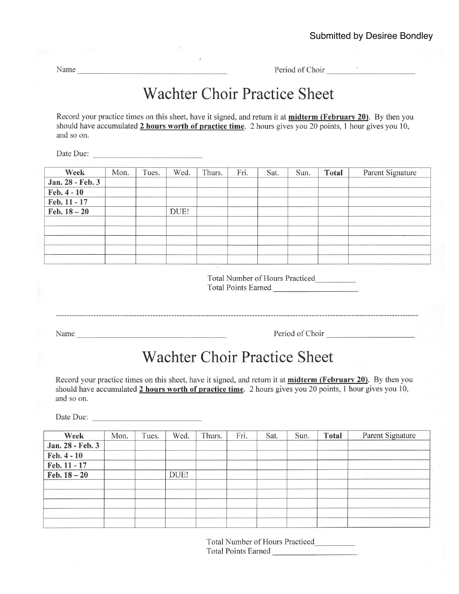Name Period of Choir

## Wachter Choir Practice Sheet

Record your practice times on this sheet, have it signed, and return it at **midterm (February 20)**. By then you should have accumulated 2 hours worth of practice time. 2 hours gives you 20 points, 1 hour gives you 10, and so on.

Date Due:

| Week             | Mon. | Tues. | Wed. | Thurs. | Fri.           | Sat. | Sun. | <b>Total</b> | Parent Signature |
|------------------|------|-------|------|--------|----------------|------|------|--------------|------------------|
| Jan. 28 - Feb. 3 |      |       |      |        |                |      |      |              |                  |
| Feb. 4 - 10      |      |       |      |        |                |      |      |              |                  |
| Feb. 11 - 17     |      |       |      |        |                |      |      |              |                  |
| Feb. $18 - 20$   |      |       | DUE! |        |                |      |      |              |                  |
|                  |      |       |      |        |                |      |      |              |                  |
|                  |      |       |      |        |                |      |      |              |                  |
|                  |      |       |      |        |                |      |      |              |                  |
|                  |      |       |      |        | $\overline{a}$ |      |      |              |                  |
|                  |      |       |      |        |                |      |      |              |                  |

Total Number of Hours Practiced Total Points Eamed

Name Period of Choir

### Wachter Choir Practice Sheet

Record your practice times on this sheet, have it signed, and return it at **midterm (February 20)**. By then you should have accumulated 2 hours worth of practice time. 2 hours gives you 20 points, 1 hour gives you 10, and so on.

Date Due:

| Week             | Mon. | Tues. | Wed. | Thurs. | Fri. | Sat. | Sun. | <b>Total</b> | Parent Signature |
|------------------|------|-------|------|--------|------|------|------|--------------|------------------|
| Jan. 28 - Feb. 3 |      |       |      |        |      |      |      |              |                  |
| Feb. 4 - 10      |      |       |      |        |      |      |      |              |                  |
| Feb. 11 - 17     |      |       |      |        |      |      |      |              |                  |
| Feb. $18 - 20$   |      |       | DUE! |        |      |      |      |              |                  |
|                  |      |       |      |        |      |      |      |              |                  |
|                  |      |       |      |        |      |      |      |              |                  |
|                  |      |       |      |        |      |      |      |              |                  |
|                  |      |       |      |        |      |      |      |              |                  |
|                  |      |       |      |        |      |      |      |              |                  |

Total Number of Hours Practiced Total Points Earned